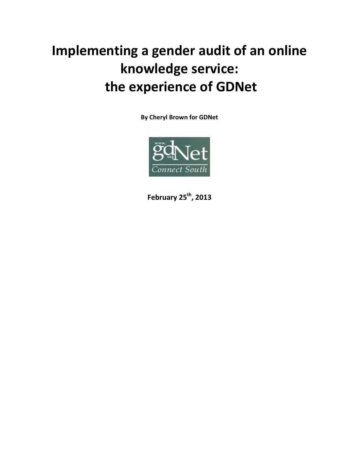# **Implementing a gender audit of an online knowledge service: the experience of GDNet**

**By Cheryl Brown for GDNet**



**February 25th, 2013**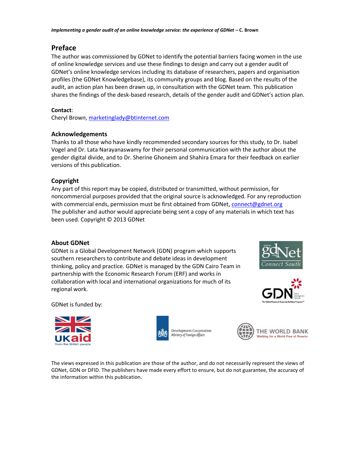# **Preface**

The author was commissioned by GDNet to identify the potential barriers facing women in the use of online knowledge services and use these findings to design and carry out a gender audit of GDNet's online knowledge services including its database of researchers, papers and organisation profiles (the GDNet Knowledgebase), its community groups and blog. Based on the results of the audit, an action plan has been drawn up, in consultation with the GDNet team. This publication shares the findings of the desk-based research, details of the gender audit and GDNet's action plan.

# **Contact**:

Cheryl Brown[, marketinglady@btinternet.com](mailto:marketinglady@btinternet.com)

# **Acknowledgements**

Thanks to all those who have kindly recommended secondary sources for this study, to Dr. Isabel Vogel and Dr. Lata Narayanaswamy for their personal communication with the author about the gender digital divide, and to Dr. Sherine Ghoneim and Shahira Emara for their feedback on earlier versions of this publication.

# **Copyright**

Any part of this report may be copied, distributed or transmitted, without permission, for noncommercial purposes provided that the original source is acknowledged. For any reproduction with commercial ends, permission must be first obtained from GDNet[, connect@gdnet.org](mailto:connect@gdnet.org) The publisher and author would appreciate being sent a copy of any materials in which text has been used. Copyright © 2013 GDNet

# **About GDNet**

GDNet is a Global Development Network (GDN) program which supports southern researchers to contribute and debate ideas in development thinking, policy and practice. GDNet is managed by the GDN Cairo Team in partnership with the Economic Research Forum (ERF) and works in collaboration with local and international organizations for much of its regional work.





GDNet is funded by:







THE WORLD BANK Working for a World Free of Poverty

The views expressed in this publication are those of the author, and do not necessarily represent the views of GDNet, GDN or DFID. The publishers have made every effort to ensure, but do not guarantee, the accuracy of the information within this publication.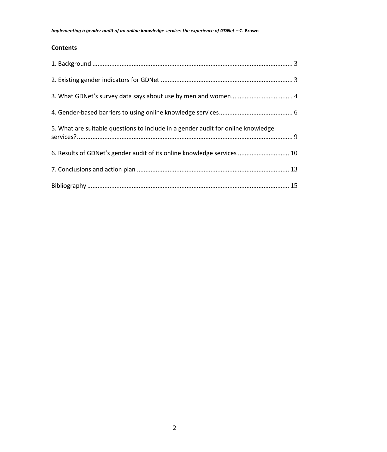# **Contents**

| 5. What are suitable questions to include in a gender audit for online knowledge |  |
|----------------------------------------------------------------------------------|--|
| 6. Results of GDNet's gender audit of its online knowledge services  10          |  |
|                                                                                  |  |
|                                                                                  |  |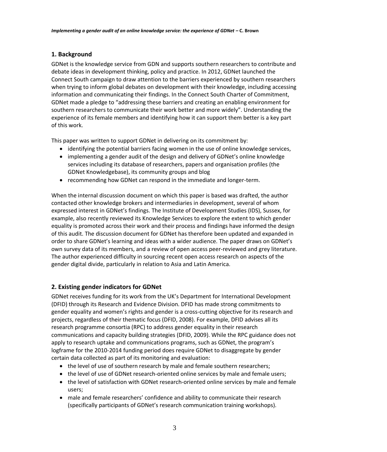## <span id="page-3-0"></span>**1. Background**

GDNet is the knowledge service from GDN and supports southern researchers to contribute and debate ideas in development thinking, policy and practice. In 2012, GDNet launched the Connect South campaign to draw attention to the barriers experienced by southern researchers when trying to inform global debates on development with their knowledge, including accessing information and communicating their findings. In the Connect South Charter of Commitment, GDNet made a pledge to "addressing these barriers and creating an enabling environment for southern researchers to communicate their work better and more widely". Understanding the experience of its female members and identifying how it can support them better is a key part of this work.

This paper was written to support GDNet in delivering on its commitment by:

- identifying the potential barriers facing women in the use of online knowledge services,
- implementing a gender audit of the design and delivery of GDNet's online knowledge services including its database of researchers, papers and organisation profiles (the GDNet Knowledgebase), its community groups and blog
- recommending how GDNet can respond in the immediate and longer-term.

When the internal discussion document on which this paper is based was drafted, the author contacted other knowledge brokers and intermediaries in development, several of whom expressed interest in GDNet's findings. The Institute of Development Studies (IDS), Sussex, for example, also recently reviewed its Knowledge Services to explore the extent to which gender equality is promoted across their work and their process and findings have informed the design of this audit. The discussion document for GDNet has therefore been updated and expanded in order to share GDNet's learning and ideas with a wider audience. The paper draws on GDNet's own survey data of its members, and a review of open access peer-reviewed and grey literature. The author experienced difficulty in sourcing recent open access research on aspects of the gender digital divide, particularly in relation to Asia and Latin America.

# <span id="page-3-1"></span>**2. Existing gender indicators for GDNet**

GDNet receives funding for its work from the UK's Department for International Development (DFID) through its Research and Evidence Division. DFID has made strong commitments to gender equality and women's rights and gender is a cross-cutting objective for its research and projects, regardless of their thematic focus (DFID, 2008). For example, DFID advises all its research programme consortia (RPC) to address gender equality in their research communications and capacity building strategies (DFID, 2009). While the RPC guidance does not apply to research uptake and communications programs, such as GDNet, the program's logframe for the 2010-2014 funding period does require GDNet to disaggregate by gender certain data collected as part of its monitoring and evaluation:

- the level of use of southern research by male and female southern researchers;
- the level of use of GDNet research-oriented online services by male and female users;
- the level of satisfaction with GDNet research-oriented online services by male and female users;
- male and female researchers' confidence and ability to communicate their research (specifically participants of GDNet's research communication training workshops).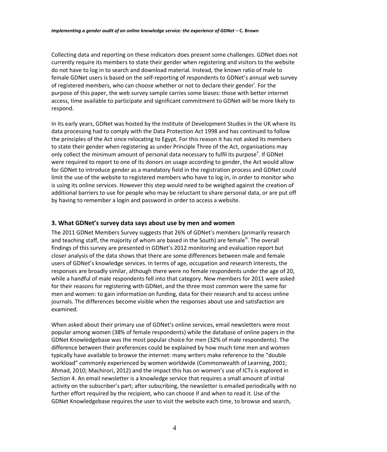Collecting data and reporting on these indicators does present some challenges. GDNet does not currently require its members to state their gender when registering and visitors to the website do not have to log in to search and download material. Instead, the known ratio of male to female GDNet users is based on the self-reporting of respondents to GDNet's annual web survey of registered members, who can choose whether or not to declare their gender<sup>i</sup>. For the purpose of this paper, the web survey sample carries some biases: those with better internet access, time available to participate and significant commitment to GDNet will be more likely to respond.

In its early years, GDNet was hosted by the Institute of Development Studies in the UK where its data processing had to comply with the Data Protection Act 1998 and has continued to follow the principles of the Act since relocating to Egypt. For this reason it has not asked its members to state their gender when registering as under Principle Three of the Act, organisations may only collect the minimum amount of personal data necessary to fulfil its purpose<sup>ii</sup>. If GDNet were required to report to one of its donors on usage according to gender, the Act would allow for GDNet to introduce gender as a mandatory field in the registration process and GDNet could limit the use of the website to registered members who have to log in, in order to monitor who is using its online services. However this step would need to be weighed against the creation of additional barriers to use for people who may be reluctant to share personal data, or are put off by having to remember a login and password in order to access a website.

### <span id="page-4-0"></span>**3. What GDNet's survey data says about use by men and women**

The 2011 GDNet Members Survey suggests that 26% of GDNet's members (primarily research and teaching staff, the majority of whom are based in the South) are female... The overall findings of this survey are presented in GDNet's 2012 monitoring and evaluation report but closer analysis of the data shows that there are some differences between male and female users of GDNet's knowledge services. In terms of age, occupation and research interests, the responses are broadly similar, although there were no female respondents under the age of 20, while a handful of male respondents fell into that category. New members for 2011 were asked for their reasons for registering with GDNet, and the three most common were the same for men and women: to gain information on funding, data for their research and to access online journals. The differences become visible when the responses about use and satisfaction are examined.

When asked about their primary use of GDNet's online services, email newsletters were most popular among women (38% of female respondents) while the database of online papers in the GDNet Knowledgebase was the most popular choice for men (32% of male respondents). The difference between their preferences could be explained by how much time men and women typically have available to browse the internet: many writers make reference to the "double workload" commonly experienced by women worldwide (Commonwealth of Learning, 2001; Ahmad, 2010; Machirori, 2012) and the impact this has on women's use of ICTs is explored in Section 4. An email newsletter is a knowledge service that requires a small amount of initial activity on the subscriber's part; after subscribing, the newsletter is emailed periodically with no further effort required by the recipient, who can choose if and when to read it. Use of the GDNet Knowledgebase requires the user to visit the website each time, to browse and search,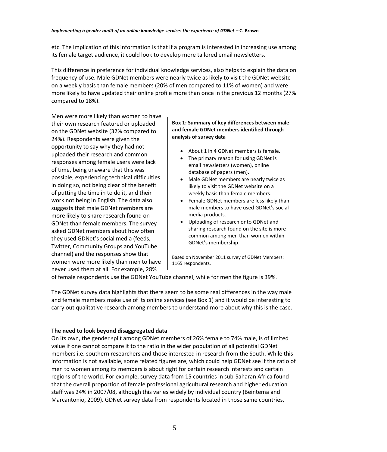etc. The implication of this information is that if a program is interested in increasing use among its female target audience, it could look to develop more tailored email newsletters.

This difference in preference for individual knowledge services, also helps to explain the data on frequency of use. Male GDNet members were nearly twice as likely to visit the GDNet website on a weekly basis than female members (20% of men compared to 11% of women) and were more likely to have updated their online profile more than once in the previous 12 months (27% compared to 18%).

Men were more likely than women to have their own research featured or uploaded on the GDNet website (32% compared to 24%). Respondents were given the opportunity to say why they had not uploaded their research and common responses among female users were lack of time, being unaware that this was possible, experiencing technical difficulties in doing so, not being clear of the benefit of putting the time in to do it, and their work not being in English. The data also suggests that male GDNet members are more likely to share research found on GDNet than female members. The survey asked GDNet members about how often they used GDNet's social media (feeds, Twitter, Community Groups and YouTube channel) and the responses show that women were more likely than men to have never used them at all. For example, 28%

**Box 1: Summary of key differences between male and female GDNet members identified through analysis of survey data**

- About 1 in 4 GDNet members is female.
- The primary reason for using GDNet is email newsletters (women), online database of papers (men).
- Male GDNet members are nearly twice as likely to visit the GDNet website on a weekly basis than female members.
- Female GDNet members are less likely than male members to have used GDNet's social media products.
- Uploading of research onto GDNet and sharing research found on the site is more common among men than women within GDNet's membership.

Based on November 2011 survey of GDNet Members: 1165 respondents.

of female respondents use the GDNet YouTube channel, while for men the figure is 39%.

The GDNet survey data highlights that there seem to be some real differences in the way male and female members make use of its online services (see Box 1) and it would be interesting to carry out qualitative research among members to understand more about why this is the case.

## **The need to look beyond disaggregated data**

On its own, the gender split among GDNet members of 26% female to 74% male, is of limited value if one cannot compare it to the ratio in the wider population of all potential GDNet members i.e. southern researchers and those interested in research from the South. While this information is not available, some related figures are, which could help GDNet see if the ratio of men to women among its members is about right for certain research interests and certain regions of the world. For example, survey data from 15 countries in sub-Saharan Africa found that the overall proportion of female professional agricultural research and higher education staff was 24% in 2007/08, although this varies widely by individual country (Beintema and Marcantonio, 2009). GDNet survey data from respondents located in those same countries,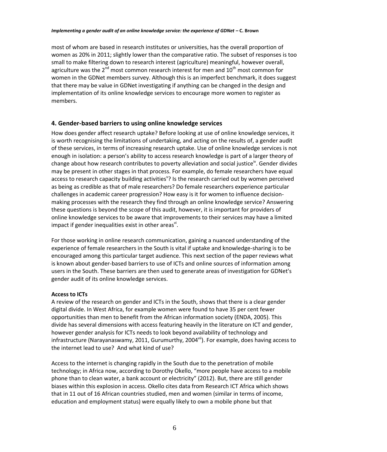most of whom are based in research institutes or universities, has the overall proportion of women as 20% in 2011; slightly lower than the comparative ratio. The subset of responses is too small to make filtering down to research interest (agriculture) meaningful, however overall, agriculture was the 2<sup>nd</sup> most common research interest for men and  $10<sup>th</sup>$  most common for women in the GDNet members survey. Although this is an imperfect benchmark, it does suggest that there may be value in GDNet investigating if anything can be changed in the design and implementation of its online knowledge services to encourage more women to register as members.

## <span id="page-6-0"></span>**4. Gender-based barriers to using online knowledge services**

How does gender affect research uptake? Before looking at use of online knowledge services, it is worth recognising the limitations of undertaking, and acting on the results of, a gender audit of these services, in terms of increasing research uptake. Use of online knowledge services is not enough in isolation: a person's ability to access research knowledge is part of a larger theory of change about how research contributes to poverty alleviation and social justice<sup>iv</sup>. Gender divides may be present in other stages in that process. For example, do female researchers have equal access to research capacity building activities<sup>v</sup>? Is the research carried out by women perceived as being as credible as that of male researchers? Do female researchers experience particular challenges in academic career progression? How easy is it for women to influence decisionmaking processes with the research they find through an online knowledge service? Answering these questions is beyond the scope of this audit, however, it is important for providers of online knowledge services to be aware that improvements to their services may have a limited impact if gender inequalities exist in other areas".

For those working in online research communication, gaining a nuanced understanding of the experience of female researchers in the South is vital if uptake and knowledge-sharing is to be encouraged among this particular target audience. This next section of the paper reviews what is known about gender-based barriers to use of ICTs and online sources of information among users in the South. These barriers are then used to generate areas of investigation for GDNet's gender audit of its online knowledge services.

#### **Access to ICTs**

A review of the research on gender and ICTs in the South, shows that there is a clear gender digital divide. In West Africa, for example women were found to have 35 per cent fewer opportunities than men to benefit from the African information society (ENDA, 2005). This divide has several dimensions with access featuring heavily in the literature on ICT and gender, however gender analysis for ICTs needs to look beyond availability of technology and infrastructure (Narayanaswamy, 2011, Gurumurthy, 2004 $\mathrm{v}^{\mathrm{in}}$ ). For example, does having access to the internet lead to use? And what kind of use?

Access to the internet is changing rapidly in the South due to the penetration of mobile technology; in Africa now, according to Dorothy Okello, "more people have access to a mobile phone than to clean water, a bank account or electricity" (2012). But, there are still gender biases within this explosion in access. Okello cites data from Research ICT Africa which shows that in 11 out of 16 African countries studied, men and women (similar in terms of income, education and employment status) were equally likely to own a mobile phone but that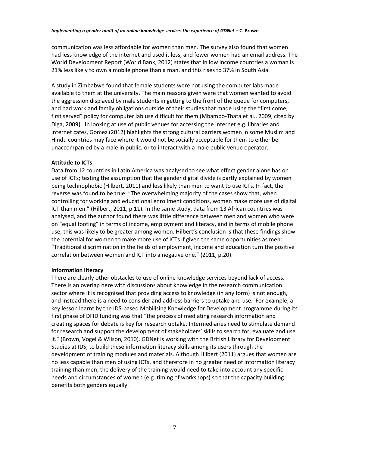communication was less affordable for women than men. The survey also found that women had less knowledge of the internet and used it less, and fewer women had an email address. The World Development Report (World Bank, 2012) states that in low income countries a woman is 21% less likely to own a mobile phone than a man, and this rises to 37% in South Asia.

A study in Zimbabwe found that female students were not using the computer labs made available to them at the university. The main reasons given were that women wanted to avoid the aggression displayed by male students in getting to the front of the queue for computers, and had work and family obligations outside of their studies that made using the "first come, first served" policy for computer lab use difficult for them (Mbambo-Thata et al., 2009, cited by Diga, 2009). In looking at use of public venues for accessing the internet e.g. libraries and internet cafes, Gomez (2012) highlights the strong cultural barriers women in some Muslim and Hindu countries may face where it would not be socially acceptable for them to either be unaccompanied by a male in public, or to interact with a male public venue operator.

#### **Attitude to ICTs**

Data from 12 countries in Latin America was analysed to see what effect gender alone has on use of ICTs; testing the assumption that the gender digital divide is partly explained by women being technophobic (Hilbert, 2011) and less likely than men to want to use ICTs. In fact, the reverse was found to be true: "The overwhelming majority of the cases show that, when controlling for working and educational enrollment conditions, women make more use of digital ICT than men." (Hilbert, 2011, p.11). In the same study, data from 13 African countries was analysed, and the author found there was little difference between men and women who were on "equal footing" in terms of income, employment and literacy, and in terms of mobile phone use, this was likely to be greater among women. Hilbert's conclusion is that these findings show the potential for women to make more use of ICTs if given the same opportunities as men: "Traditional discrimination in the fields of employment, income and education turn the positive correlation between women and ICT into a negative one." (2011, p.20).

#### **Information literacy**

There are clearly other obstacles to use of online knowledge services beyond lack of access. There is an overlap here with discussions about knowledge in the research communication sector where it is recognised that providing access to knowledge (in any form) is not enough, and instead there is a need to consider and address barriers to uptake and use. For example, a key lesson learnt by the IDS-based Mobilising Knowledge for Development programme during its first phase of DFID funding was that "the process of mediating research information and creating spaces for debate is key for research uptake. Intermediaries need to stimulate demand for research and support the development of stakeholders' skills to search for, evaluate and use it." (Brown, Vogel & Wilson, 2010). GDNet is working with the British Library for Development Studies at IDS, to build these information literacy skills among its users through the development of training modules and materials. Although Hilbert (2011) argues that women are no less capable than men of using ICTs, and therefore in no greater need of information literacy training than men, the delivery of the training would need to take into account any specific needs and circumstances of women (e.g. timing of workshops) so that the capacity building benefits both genders equally.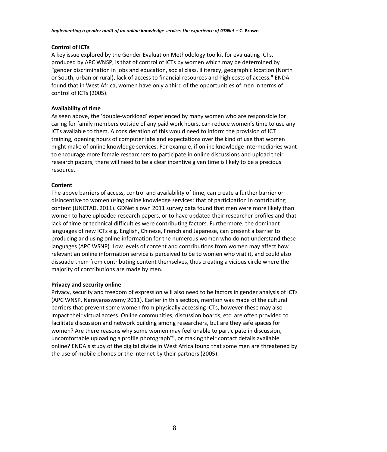## **Control of ICTs**

A key issue explored by the Gender Evaluation Methodology toolkit for evaluating ICTs, produced by APC WNSP, is that of control of ICTs by women which may be determined by "gender discrimination in jobs and education, social class, illiteracy, geographic location (North or South, urban or rural), lack of access to financial resources and high costs of access." ENDA found that in West Africa, women have only a third of the opportunities of men in terms of control of ICTs (2005).

## **Availability of time**

As seen above, the 'double-workload' experienced by many women who are responsible for caring for family members outside of any paid work hours, can reduce women's time to use any ICTs available to them. A consideration of this would need to inform the provision of ICT training, opening hours of computer labs and expectations over the kind of use that women might make of online knowledge services. For example, if online knowledge intermediaries want to encourage more female researchers to participate in online discussions and upload their research papers, there will need to be a clear incentive given time is likely to be a precious resource.

## **Content**

The above barriers of access, control and availability of time, can create a further barrier or disincentive to women using online knowledge services: that of participation in contributing content (UNCTAD, 2011). GDNet's own 2011 survey data found that men were more likely than women to have uploaded research papers, or to have updated their researcher profiles and that lack of time or technical difficulties were contributing factors. Furthermore, the dominant languages of new ICTs e.g. English, Chinese, French and Japanese, can present a barrier to producing and using online information for the numerous women who do not understand these languages (APC WSNP). Low levels of content and contributions from women may affect how relevant an online information service is perceived to be to women who visit it, and could also dissuade them from contributing content themselves, thus creating a vicious circle where the majority of contributions are made by men.

#### **Privacy and security online**

<span id="page-8-0"></span>Privacy, security and freedom of expression will also need to be factors in gender analysis of ICTs (APC WNSP, Narayanaswamy 2011). Earlier in this section, mention was made of the cultural barriers that prevent some women from physically accessing ICTs, however these may also impact their virtual access. Online communities, discussion boards, etc. are often provided to facilitate discussion and network building among researchers, but are they safe spaces for women? Are there reasons why some women may feel unable to participate in discussion, uncomfortable uploading a profile photograph  $\mathbf{w}$ , or making their contact details available online? ENDA's study of the digital divide in West Africa found that some men are threatened by the use of mobile phones or the internet by their partners (2005).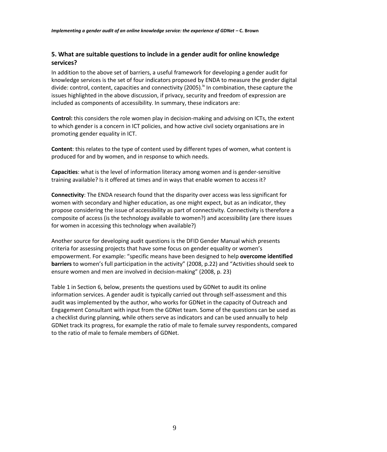# **5. What are suitable questions to include in a gender audit for online knowledge services?**

In addition to the above set of barriers, a useful framework for developing a gender audit for knowledge services is the set of four indicators proposed by ENDA to measure the gender digital divide: control, content, capacities and connectivity (2005).<sup>ix</sup> In combination, these capture the issues highlighted in the above discussion, if privacy, security and freedom of expression are included as components of accessibility. In summary, these indicators are:

**Control:** this considers the role women play in decision-making and advising on ICTs, the extent to which gender is a concern in ICT policies, and how active civil society organisations are in promoting gender equality in ICT.

**Content**: this relates to the type of content used by different types of women, what content is produced for and by women, and in response to which needs.

**Capacities**: what is the level of information literacy among women and is gender-sensitive training available? Is it offered at times and in ways that enable women to access it?

**Connectivity**: The ENDA research found that the disparity over access was less significant for women with secondary and higher education, as one might expect, but as an indicator, they propose considering the issue of accessibility as part of connectivity. Connectivity is therefore a composite of access (is the technology available to women?) and accessibility (are there issues for women in accessing this technology when available?)

Another source for developing audit questions is the DFID Gender Manual which presents criteria for assessing projects that have some focus on gender equality or women's empowerment. For example: "specific means have been designed to help **overcome identified barriers** to women's full participation in the activity" (2008, p.22) and "Activities should seek to ensure women and men are involved in decision-making" (2008, p. 23)

Table 1 in Section 6, below, presents the questions used by GDNet to audit its online information services. A gender audit is typically carried out through self-assessment and this audit was implemented by the author, who works for GDNet in the capacity of Outreach and Engagement Consultant with input from the GDNet team. Some of the questions can be used as a checklist during planning, while others serve as indicators and can be used annually to help GDNet track its progress, for example the ratio of male to female survey respondents, compared to the ratio of male to female members of GDNet.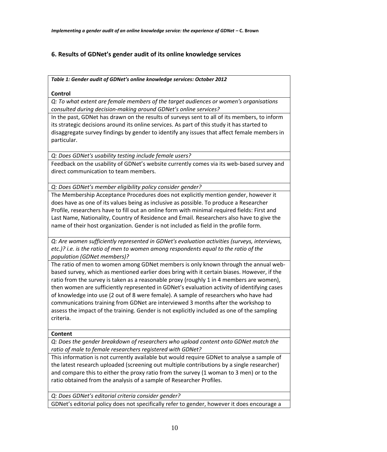# <span id="page-10-0"></span>**6. Results of GDNet's gender audit of its online knowledge services**

*Table 1: Gender audit of GDNet's online knowledge services: October 2012*

#### **Control**

*Q: To what extent are female members of the target audiences or women's organisations consulted during decision-making around GDNet's online services?* 

In the past, GDNet has drawn on the results of surveys sent to all of its members, to inform its strategic decisions around its online services. As part of this study it has started to disaggregate survey findings by gender to identify any issues that affect female members in particular.

*Q: Does GDNet's usability testing include female users?* 

Feedback on the usability of GDNet's website currently comes via its web-based survey and direct communication to team members.

*Q: Does GDNet's member eligibility policy consider gender?*

The Membership Acceptance Procedures does not explicitly mention gender, however it does have as one of its values being as inclusive as possible. To produce a Researcher Profile, researchers have to fill out an online form with minimal required fields: First and Last Name, Nationality, Country of Residence and Email. Researchers also have to give the name of their host organization. Gender is not included as field in the profile form.

*Q: Are women sufficiently represented in GDNet's evaluation activities (surveys, interviews, etc.)? i.e. is the ratio of men to women among respondents equal to the ratio of the population (GDNet members)?*

The ratio of men to women among GDNet members is only known through the annual webbased survey, which as mentioned earlier does bring with it certain biases. However, if the ratio from the survey is taken as a reasonable proxy (roughly 1 in 4 members are women), then women are sufficiently represented in GDNet's evaluation activity of identifying cases of knowledge into use (2 out of 8 were female). A sample of researchers who have had communications training from GDNet are interviewed 3 months after the workshop to assess the impact of the training. Gender is not explicitly included as one of the sampling criteria.

#### **Content**

*Q: Does the gender breakdown of researchers who upload content onto GDNet match the ratio of male to female researchers registered with GDNet?*

This information is not currently available but would require GDNet to analyse a sample of the latest research uploaded (screening out multiple contributions by a single researcher) and compare this to either the proxy ratio from the survey (1 woman to 3 men) or to the ratio obtained from the analysis of a sample of Researcher Profiles.

*Q: Does GDNet's editorial criteria consider gender?* GDNet's editorial policy does not specifically refer to gender, however it does encourage a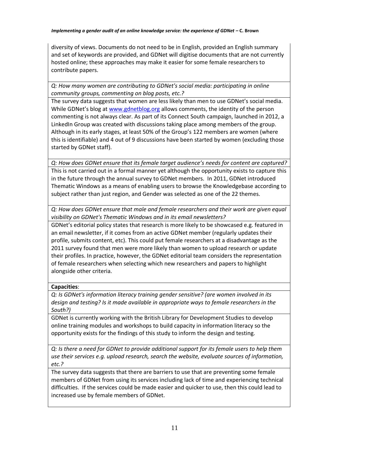diversity of views. Documents do not need to be in English, provided an English summary and set of keywords are provided, and GDNet will digitise documents that are not currently hosted online; these approaches may make it easier for some female researchers to contribute papers.

*Q: How many women are contributing to GDNet's social media: participating in online community groups, commenting on blog posts, etc.?*

The survey data suggests that women are less likely than men to use GDNet's social media. While GDNet's blog at [www.gdnetblog.org](http://www.gdnetblog.org/) allows comments, the identity of the person commenting is not always clear. As part of its Connect South campaign, launched in 2012, a LinkedIn Group was created with discussions taking place among members of the group. Although in its early stages, at least 50% of the Group's 122 members are women (where this is identifiable) and 4 out of 9 discussions have been started by women (excluding those started by GDNet staff).

*Q: How does GDNet ensure that its female target audience's needs for content are captured?* This is not carried out in a formal manner yet although the opportunity exists to capture this in the future through the annual survey to GDNet members. In 2011, GDNet introduced Thematic Windows as a means of enabling users to browse the Knowledgebase according to subject rather than just region, and Gender was selected as one of the 22 themes.

*Q: How does GDNet ensure that male and female researchers and their work are given equal visibility on GDNet's Thematic Windows and in its email newsletters?*

GDNet's editorial policy states that research is more likely to be showcased e.g. featured in an email newsletter, if it comes from an active GDNet member (regularly updates their profile, submits content, etc). This could put female researchers at a disadvantage as the 2011 survey found that men were more likely than women to upload research or update their profiles. In practice, however, the GDNet editorial team considers the representation of female researchers when selecting which new researchers and papers to highlight alongside other criteria.

## **Capacities**:

*Q: Is GDNet's information literacy training gender sensitive? (are women involved in its design and testing? Is it made available in appropriate ways to female researchers in the South?)*

GDNet is currently working with the British Library for Development Studies to develop online training modules and workshops to build capacity in information literacy so the opportunity exists for the findings of this study to inform the design and testing.

*Q: Is there a need for GDNet to provide additional support for its female users to help them use their services e.g. upload research, search the website, evaluate sources of information, etc.?*

The survey data suggests that there are barriers to use that are preventing some female members of GDNet from using its services including lack of time and experiencing technical difficulties. If the services could be made easier and quicker to use, then this could lead to increased use by female members of GDNet.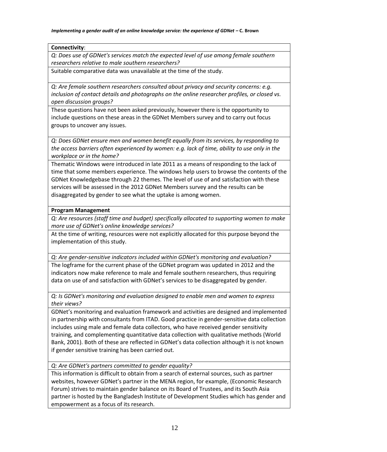### **Connectivity**:

*Q: Does use of GDNet's services match the expected level of use among female southern researchers relative to male southern researchers?* 

Suitable comparative data was unavailable at the time of the study.

*Q: Are female southern researchers consulted about privacy and security concerns: e.g. inclusion of contact details and photographs on the online researcher profiles, or closed vs. open discussion groups?*

These questions have not been asked previously, however there is the opportunity to include questions on these areas in the GDNet Members survey and to carry out focus groups to uncover any issues.

*Q: Does GDNet ensure men and women benefit equally from its services, by responding to the access barriers often experienced by women: e.g. lack of time, ability to use only in the workplace or in the home?*

Thematic Windows were introduced in late 2011 as a means of responding to the lack of time that some members experience. The windows help users to browse the contents of the GDNet Knowledgebase through 22 themes. The level of use of and satisfaction with these services will be assessed in the 2012 GDNet Members survey and the results can be disaggregated by gender to see what the uptake is among women.

## **Program Management**

*Q: Are resources (staff time and budget) specifically allocated to supporting women to make more use of GDNet's online knowledge services?*

At the time of writing, resources were not explicitly allocated for this purpose beyond the implementation of this study.

*Q: Are gender-sensitive indicators included within GDNet's monitoring and evaluation?* The logframe for the current phase of the GDNet program was updated in 2012 and the indicators now make reference to male and female southern researchers, thus requiring data on use of and satisfaction with GDNet's services to be disaggregated by gender.

*Q: Is GDNet's monitoring and evaluation designed to enable men and women to express their views?*

GDNet's monitoring and evaluation framework and activities are designed and implemented in partnership with consultants from ITAD. Good practice in gender-sensitive data collection includes using male and female data collectors, who have received gender sensitivity training, and complementing quantitative data collection with qualitative methods (World Bank, 2001). Both of these are reflected in GDNet's data collection although it is not known if gender sensitive training has been carried out.

*Q: Are GDNet's partners committed to gender equality?*

This information is difficult to obtain from a search of external sources, such as partner websites, however GDNet's partner in the MENA region, for example, (Economic Research Forum) strives to maintain gender balance on its Board of Trustees, and its South Asia partner is hosted by the Bangladesh Institute of Development Studies which has gender and empowerment as a focus of its research.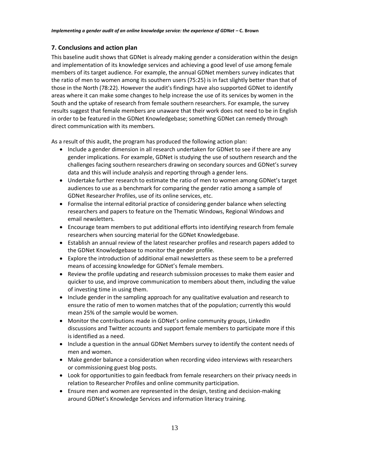## <span id="page-13-0"></span>**7. Conclusions and action plan**

This baseline audit shows that GDNet is already making gender a consideration within the design and implementation of its knowledge services and achieving a good level of use among female members of its target audience. For example, the annual GDNet members survey indicates that the ratio of men to women among its southern users (75:25) is in fact slightly better than that of those in the North (78:22). However the audit's findings have also supported GDNet to identify areas where it can make some changes to help increase the use of its services by women in the South and the uptake of research from female southern researchers. For example, the survey results suggest that female members are unaware that their work does not need to be in English in order to be featured in the GDNet Knowledgebase; something GDNet can remedy through direct communication with its members.

As a result of this audit, the program has produced the following action plan:

- Include a gender dimension in all research undertaken for GDNet to see if there are any gender implications. For example, GDNet is studying the use of southern research and the challenges facing southern researchers drawing on secondary sources and GDNet's survey data and this will include analysis and reporting through a gender lens.
- Undertake further research to estimate the ratio of men to women among GDNet's target audiences to use as a benchmark for comparing the gender ratio among a sample of GDNet Researcher Profiles, use of its online services, etc.
- Formalise the internal editorial practice of considering gender balance when selecting researchers and papers to feature on the Thematic Windows, Regional Windows and email newsletters.
- Encourage team members to put additional efforts into identifying research from female researchers when sourcing material for the GDNet Knowledgebase.
- Establish an annual review of the latest researcher profiles and research papers added to the GDNet Knowledgebase to monitor the gender profile.
- Explore the introduction of additional email newsletters as these seem to be a preferred means of accessing knowledge for GDNet's female members.
- Review the profile updating and research submission processes to make them easier and quicker to use, and improve communication to members about them, including the value of investing time in using them.
- Include gender in the sampling approach for any qualitative evaluation and research to ensure the ratio of men to women matches that of the population; currently this would mean 25% of the sample would be women.
- Monitor the contributions made in GDNet's online community groups, LinkedIn discussions and Twitter accounts and support female members to participate more if this is identified as a need.
- Include a question in the annual GDNet Members survey to identify the content needs of men and women.
- Make gender balance a consideration when recording video interviews with researchers or commissioning guest blog posts.
- Look for opportunities to gain feedback from female researchers on their privacy needs in relation to Researcher Profiles and online community participation.
- Ensure men and women are represented in the design, testing and decision-making around GDNet's Knowledge Services and information literacy training.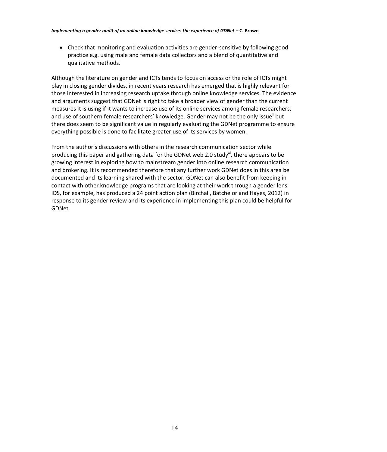Check that monitoring and evaluation activities are gender-sensitive by following good practice e.g. using male and female data collectors and a blend of quantitative and qualitative methods.

Although the literature on gender and ICTs tends to focus on access or the role of ICTs might play in closing gender divides, in recent years research has emerged that is highly relevant for those interested in increasing research uptake through online knowledge services. The evidence and arguments suggest that GDNet is right to take a broader view of gender than the current measures it is using if it wants to increase use of its online services among female researchers, and use of southern female researchers' knowledge. Gender may not be the only issue<sup>x</sup> but there does seem to be significant value in regularly evaluating the GDNet programme to ensure everything possible is done to facilitate greater use of its services by women.

<span id="page-14-0"></span>From the author's discussions with others in the research communication sector while producing this paper and gathering data for the GDNet web 2.0 study<sup>xi</sup>, there appears to be growing interest in exploring how to mainstream gender into online research communication and brokering. It is recommended therefore that any further work GDNet does in this area be documented and its learning shared with the sector. GDNet can also benefit from keeping in contact with other knowledge programs that are looking at their work through a gender lens. IDS, for example, has produced a 24 point action plan (Birchall, Batchelor and Hayes, 2012) in response to its gender review and its experience in implementing this plan could be helpful for GDNet.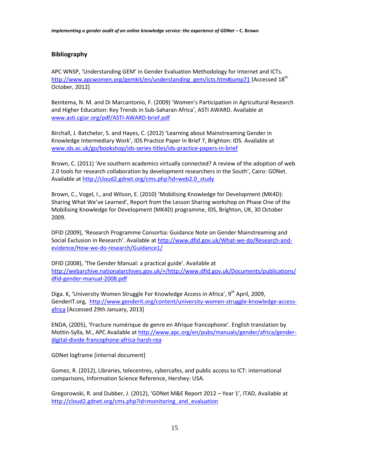# **Bibliography**

APC WNSP, 'Understanding GEM' in Gender Evaluation Methodology for Internet and ICTs. [http://www.apcwomen.org/gemkit/en/understanding\\_gem/icts.htm#jump71](http://www.apcwomen.org/gemkit/en/understanding_gem/icts.htm#jump71) [Accessed 18<sup>th</sup> October, 2012]

Beintema, N. M. and Di Marcantonio, F. (2009) 'Women's Participation in Agricultural Research and Higher Education: Key Trends in Sub-Saharan Africa', ASTI AWARD. Available at [www.asti.cgiar.org/pdf/ASTI-AWARD-brief.pdf](http://www.asti.cgiar.org/pdf/ASTI-AWARD-brief.pdf) 

Birchall, J. Batchelor, S. and Hayes, C. (2012) 'Learning about Mainstreaming Gender in Knowledge Intermediary Work', IDS Practice Paper In Brief 7, Brighton: IDS. Available at [www.ids.ac.uk/go/bookshop/ids-series-titles/ids-practice-papers-in-brief](http://www.ids.ac.uk/go/bookshop/ids-series-titles/ids-practice-papers-in-brief)

Brown, C. (2011) 'Are southern academics virtually connected? A review of the adoption of web 2.0 tools for research collaboration by development researchers in the South', Cairo: GDNet. Available a[t http://cloud2.gdnet.org/cms.php?id=web2.0\\_study](http://cloud2.gdnet.org/cms.php?id=web2.0_study)

Brown, C., Vogel, I., and Wilson, E. (2010) 'Mobilising Knowledge for Development (MK4D): Sharing What We've Learned', Report from the Lesson Sharing workshop on Phase One of the Mobilising Knowledge for Development (MK4D) programme, IDS, Brighton, UK, 30 October 2009.

DFID (2009), 'Research Programme Consortia: Guidance Note on Gender Mainstreaming and Social Exclusion in Research'. Available a[t http://www.dfid.gov.uk/What-we-do/Research-and](http://www.dfid.gov.uk/What-we-do/Research-and-evidence/How-we-do-research/Guidance1/)[evidence/How-we-do-research/Guidance1/](http://www.dfid.gov.uk/What-we-do/Research-and-evidence/How-we-do-research/Guidance1/)

DFID (2008), 'The Gender Manual: a practical guide'. Available at [http://webarchive.nationalarchives.gov.uk/+/http://www.dfid.gov.uk/Documents/publications/](http://webarchive.nationalarchives.gov.uk/+/http:/www.dfid.gov.uk/Documents/publications/dfid-gender-manual-2008.pdf) [dfid-gender-manual-2008.pdf](http://webarchive.nationalarchives.gov.uk/+/http:/www.dfid.gov.uk/Documents/publications/dfid-gender-manual-2008.pdf)

Diga. K, 'University Women Struggle For Knowledge Access in Africa', 9<sup>th</sup> April, 2009, GenderIT.org, [http://www.genderit.org/content/university-women-struggle-knowledge-access](http://www.genderit.org/content/university-women-struggle-knowledge-access-africa)[africa](http://www.genderit.org/content/university-women-struggle-knowledge-access-africa) [Accessed 29th January, 2013]

ENDA, (2005), 'Fracture numérique de genre en Afrique francophone'. English translation by Mottin-Sylla, M., APC Available at [http://www.apc.org/en/pubs/manuals/gender/africa/gender](http://www.apc.org/en/pubs/manuals/gender/africa/gender-digital-divide-francophone-africa-harsh-rea)[digital-divide-francophone-africa-harsh-rea](http://www.apc.org/en/pubs/manuals/gender/africa/gender-digital-divide-francophone-africa-harsh-rea)

GDNet logframe [internal document]

Gomez, R. (2012), Libraries, telecentres, cybercafes, and public access to ICT: international comparisons, Information Science Reference, Hershey: USA.

Gregorowski, R. and Dubber, J. (2012), 'GDNet M&E Report 2012 – Year 1', ITAD, Available at [http://cloud2.gdnet.org/cms.php?id=monitoring\\_and\\_evaluation](http://cloud2.gdnet.org/cms.php?id=monitoring_and_evaluation)